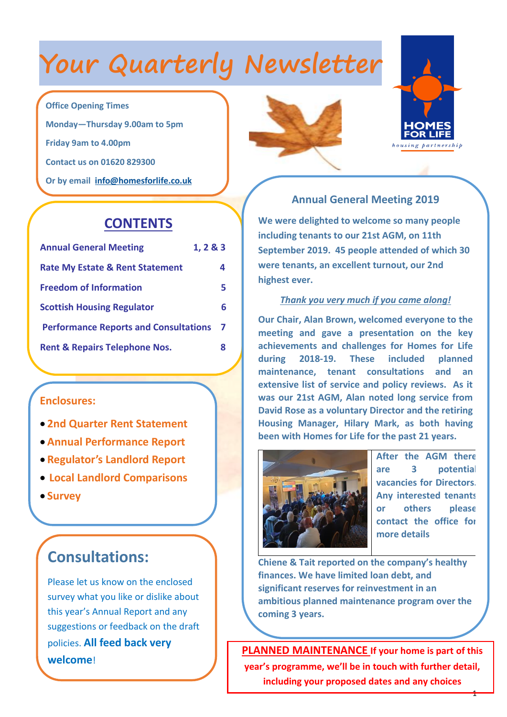# **Your Quarterly Newsletter**

### **Office Opening Times**

**Monday—Thursday 9.00am to 5pm Friday 9am to 4.00pm**

**Contact us on 01620 829300**

**Or by email [info@homesforlife.co.uk](mailto:info@homesforlife.co.uk)**

## **CONTENTS**

| <b>Annual General Meeting</b>                | 1, 2 & 3 |
|----------------------------------------------|----------|
| <b>Rate My Estate &amp; Rent Statement</b>   | 4        |
| <b>Freedom of Information</b>                | 5        |
| <b>Scottish Housing Regulator</b>            | 6        |
| <b>Performance Reports and Consultations</b> |          |
| <b>Rent &amp; Repairs Telephone Nos.</b>     | 8        |

### **Enclosures:**

- **2nd Quarter Rent Statement**
- **Annual Performance Report**
- **Regulator's Landlord Report**
- **Local Landlord Comparisons**
- **Survey**

## **Consultations:**

Please let us know on the enclosed survey what you like or dislike about this year's Annual Report and any suggestions or feedback on the draft policies. **All feed back very welcome**!





### **Annual General Meeting 2019**

**We were delighted to welcome so many people including tenants to our 21st AGM, on 11th September 2019. 45 people attended of which 30 were tenants, an excellent turnout, our 2nd highest ever.**

### *Thank you very much if you came along!*

**Our Chair, Alan Brown, welcomed everyone to the meeting and gave a presentation on the key achievements and challenges for Homes for Life during 2018-19. These included planned maintenance, tenant consultations and an extensive list of service and policy reviews. As it was our 21st AGM, Alan noted long service from David Rose as a voluntary Director and the retiring Housing Manager, Hilary Mark, as both having been with Homes for Life for the past 21 years.**



**After the AGM there are 3 potential vacancies for Directors. Any interested tenants or others please contact the office for more details**

1

**Chiene & Tait reported on the company's healthy finances. We have limited loan debt, and significant reserves for reinvestment in an ambitious planned maintenance program over the coming 3 years.**

**PLANNED MAINTENANCE If your home is part of this year's programme, we'll be in touch with further detail, including your proposed dates and any choices**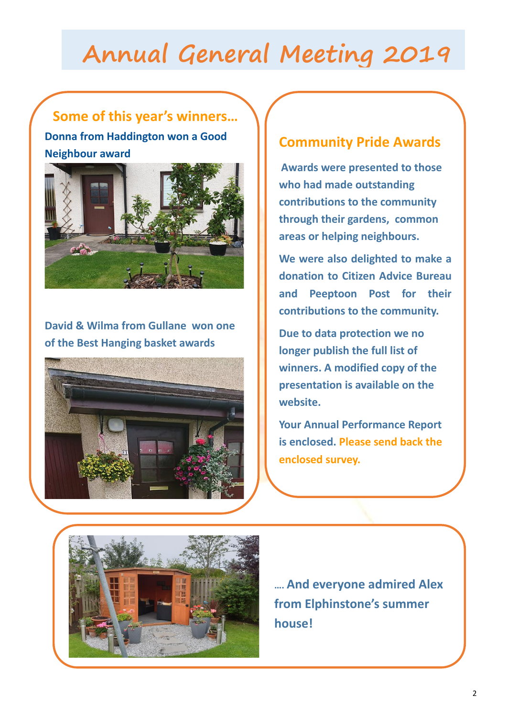# **Annual General Meeting 2019**

## **Some of this year's winners…**

**Donna from Haddington won a Good Neighbour award**



**David & Wilma from Gullane won one of the Best Hanging basket awards**



## **Community Pride Awards**

**Awards were presented to those who had made outstanding contributions to the community through their gardens, common areas or helping neighbours.** 

**We were also delighted to make a donation to Citizen Advice Bureau and Peeptoon Post for their contributions to the community.**

**Due to data protection we no longer publish the full list of winners. A modified copy of the presentation is available on the website.**

**Your Annual Performance Report is enclosed. Please send back the enclosed survey.**



**…. And everyone admired Alex from Elphinstone's summer house!**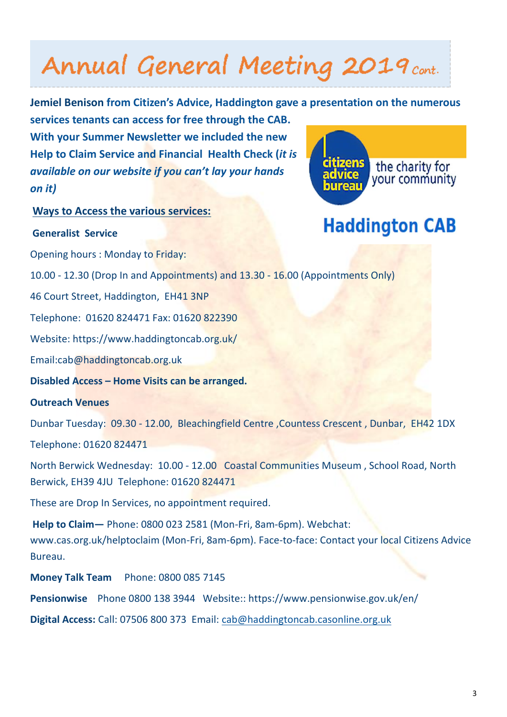# Annual General Meeting 2019 cont.

**Jemiel Benison from Citizen's Advice, Haddington gave a presentation on the numerous services tenants can access for free through the CAB.** 

**With your Summer Newsletter we included the new Help to Claim Service and Financial Health Check (***it is available on our website if you can't lay your hands on it)* 

citizens the charity for your community

**Haddington CAB** 

### **Ways to Access the various services:**

#### **Generalist Service**

Opening hours : Monday to Friday:

10.00 - 12.30 (Drop In and Appointments) and 13.30 - 16.00 (Appointments Only)

46 Court Street, Haddington, EH41 3NP

Telephone: 01620 824471 Fax: 01620 822390

Website: https://www.haddingtoncab.org.uk/

Email:cab@haddingtoncab.org.uk

**Disabled Access – Home Visits can be arranged.**

### **Outreach Venues**

Dunbar Tuesday: 09.30 - 12.00, Bleachingfield Centre ,Countess Crescent , Dunbar, EH42 1DX Telephone: 01620 824471

North Berwick Wednesday: 10.00 - 12.00 Coastal Communities Museum , School Road, North Berwick, EH39 4JU Telephone: 01620 824471

These are Drop In Services, no appointment required.

**Help to Claim—** Phone: 0800 023 2581 (Mon-Fri, 8am-6pm). Webchat: www.cas.org.uk/helptoclaim (Mon-Fri, 8am-6pm). Face-to-face: Contact your local Citizens Advice Bureau.

**Money Talk Team** Phone: 0800 085 7145

**Pensionwise** Phone 0800 138 3944 Website:: https://www.pensionwise.gov.uk/en/

**Digital Access:** Call: 07506 800 373 Email: [cab@haddingtoncab.casonline.org.uk](mailto:cab@haddingtoncab.casonline.org.uk)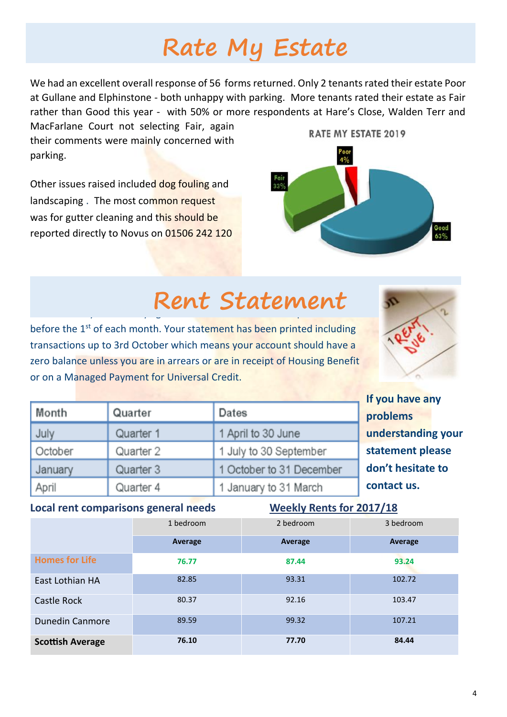# **Rate My Estate**

We had an excellent overall response of 56 forms returned. Only 2 tenants rated their estate Poor at Gullane and Elphinstone - both unhappy with parking. More tenants rated their estate as Fair rather than Good this year - with 50% or more respondents at Hare's Close, Walden Terr and

MacFarlane Court not selecting Fair, again their comments were mainly concerned with parking.

Other issues raised included dog fouling and landscaping . The most common request was for gutter cleaning and this should be reported directly to Novus on 01506 242 120



### $\blacksquare$  **2** nd  $\blacksquare$  **2** nd  $\blacksquare$  **2** nd  $\blacksquare$  **2** nd  $\blacksquare$  **2** nd  $\blacksquare$  **2** nd  $\blacksquare$  **2** nd  $\blacksquare$  **2** nd  $\blacksquare$  **2** nd  $\blacksquare$  **2** nd  $\blacksquare$  **2** nd  $\blacksquare$  **2** nd  $\blacksquare$  **2** nd  $\blacksquare$  **2** nd  $\blacksquare$  **2** nd  $\blacksquare$  **2** n **Rent Statement**

before the 1<sup>st</sup> of each month. Your statement has been printed including transactions up to 3rd October which means your account should have a zero balance unless you are in arrears or are in receipt of Housing Benefit or on a Managed Payment for Universal Credit.



**If you have any** 

|         |           |                          | <b>II you have dily</b> |
|---------|-----------|--------------------------|-------------------------|
| Month   | Quarter   | Dates                    | problems                |
| July    | Quarter 1 | 1 April to 30 June       | understanding your      |
| October | Quarter 2 | 1 July to 30 September   | statement please        |
| January | Quarter 3 | 1 October to 31 December | don't hesitate to       |
| April   | Quarter 4 | 1 January to 31 March    | contact us.             |

#### Local rent comparisons general needs Weekly Rents for 2017/18

|                         | 1 bedroom | 2 bedroom | 3 bedroom |
|-------------------------|-----------|-----------|-----------|
|                         | Average   | Average   | Average   |
| <b>Homes for Life</b>   | 76.77     | 87.44     | 93.24     |
| East Lothian HA         | 82.85     | 93.31     | 102.72    |
| Castle Rock             | 80.37     | 92.16     | 103.47    |
| <b>Dunedin Canmore</b>  | 89.59     | 99.32     | 107.21    |
| <b>Scottish Average</b> | 76.10     | 77.70     | 84.44     |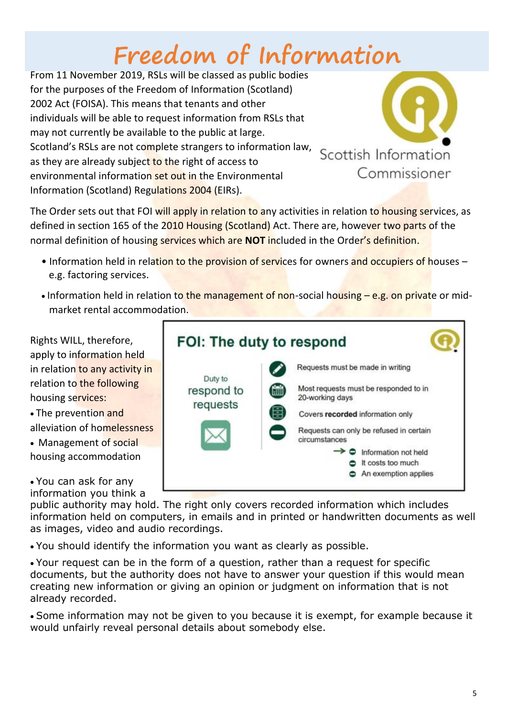# **Freedom of Information**

From 11 November 2019, RSLs will be classed as public bodies for the purposes of the Freedom of Information (Scotland) 2002 Act (FOISA). This means that tenants and other individuals will be able to request information from RSLs that may not currently be available to the public at large. Scotland's RSLs are not complete strangers to information law, as they are already subject to the right of access to environmental information set out in the Environmental Information (Scotland) Regulations 2004 (EIRs).



The Order sets out that FOI will apply in relation to any activities in relation to housing services, as defined in section 165 of the 2010 Housing (Scotland) Act. There are, however two parts of the normal definition of housing services which are **NOT** included in the Order's definition.

- Information held in relation to the provision of services for owners and occupiers of houses e.g. factoring services.
- Information held in relation to the management of non-social housing e.g. on private or midmarket rental accommodation.

Rights WILL, therefore, apply to information held in relation to any activity in relation to the following housing services:

- The prevention and alleviation of homelessness
- Management of social housing accommodation
- You can ask for any

information you think a public authority may hold. The right only covers recorded information which includes information held on computers, in emails and in printed or handwritten documents as well as images, video and audio recordings.

• You should identify the information you want as clearly as possible.

• Your request can be in the form of a question, rather than a request for specific documents, but the authority does not have to answer your question if this would mean creating new information or giving an opinion or judgment on information that is not already recorded.

• Some information may not be given to you because it is exempt, for example because it would unfairly reveal personal details about somebody else.

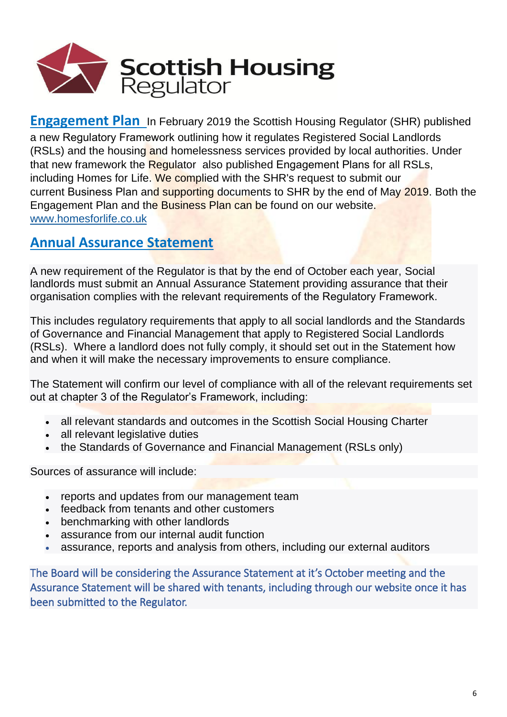

**Engagement Plan** In February 2019 the Scottish Housing Regulator (SHR) published a new [Regulatory Framework](http://www.homesforlife.co.uk/Files/1.753399SHRRegulatoryFramework-February2019.pdf) outlining how it regulates Registered Social Landlords (RSLs) and the housing and homelessness services provided by local authorities. Under that new framework the Regulator also published [Engagement Plans](http://www.homesforlife.co.uk/Files/1.372601HomesforLifeHousingPartnershipEP.pdf) for all RSLs, including Homes for Life. We complied with the SHR's request to submit our current [Business Plan](http://www.homesforlife.co.uk/Files/1.240139HomesforLifeHousingPartnership-BusinessPlan2019-2022MASTER(1).pdf) and supporting documents to SHR by the end of May 2019. Both the Engagement Plan and the Business Plan can be found on our website. [www.homesforlife.co.uk](http://www.homesforlife.co.uk/)

## **Annual Assurance Statement**

A new requirement of the Regulator is that by the end of October each year, Social landlords must submit an Annual Assurance Statement providing assurance that their organisation complies with the [relevant requirements of the Regulatory Framework.](https://www.scottishhousingregulator.gov.uk/for-landlords/regulatory-framework#section-3)

This includes regulatory requirements that apply to all social landlords and the Standards of Governance and Financial Management that apply to Registered Social Landlords (RSLs). Where a landlord does not fully comply, it should set out in the Statement how and when it will make the necessary improvements to ensure compliance.

The Statement will confirm our level of compliance with all of the relevant requirements set out at chapter 3 of the Regulator's Framework, including:

- all relevant standards and outcomes in the Scottish Social Housing Charter
- all relevant legislative duties
- the Standards of Governance and Financial Management (RSLs only)

Sources of assurance will include:

- reports and updates from our management team
- feedback from tenants and other customers
- benchmarking with other landlords
- assurance from our internal audit function
- assurance, reports and analysis from others, including our external auditors

The Board will be considering the Assurance Statement at it's October meeting and the Assurance Statement will be shared with tenants, including through our website once it has been submitted to the Regulator.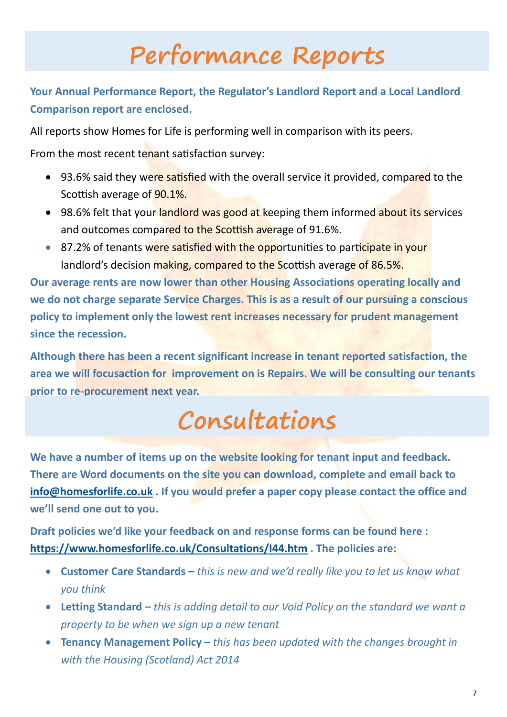## **Performance Reports**

## **Your Annual Performance Report, the Regulator's Landlord Report and a Local Landlord Comparison report are enclosed.**

All reports show Homes for Life is performing well in comparison with its peers.

From the most recent tenant satisfaction survey:

- 93.6% said they were satisfied with the overall service it provided, compared to the Scottish average of 90.1%.
- 98.6% felt that your landlord was good at keeping them informed about its services and outcomes compared to the Scottish average of 91.6%.
- 87.2% of tenants were satisfied with the opportunities to participate in your landlord's decision making, compared to the Scottish average of 86.5%.

**Our average rents are now lower than other Housing Associations operating locally and we do not charge separate Service Charges. This is as a result of our pursuing a conscious policy to implement only the lowest rent increases necessary for prudent management since the recession.** 

**Although there has been a recent significant increase in tenant reported satisfaction, the area we will focusaction for improvement on is Repairs. We will be consulting our tenants prior to re-procurement next year.**

# **Consultations**

**We have a number of items up on the website looking for tenant input and feedback. There are Word documents on the site you can download, complete and email back to [info@homesforlife.co.uk](mailto:info@homesforlife.co.uk) . If you would prefer a paper copy please contact the office and we'll send one out to you.**

**Draft policies we'd like your feedback on and response forms can be found here : <https://www.homesforlife.co.uk/Consultations/I44.htm> . The policies are:**

- **Customer Care Standards –** *this is new and we'd really like you to let us know what you think*
- **Letting Standard –** *this is adding detail to our Void Policy on the standard we want a property to be when we sign up a new tenant*
- **Tenancy Management Policy –** *this has been updated with the changes brought in with the Housing (Scotland) Act 2014*